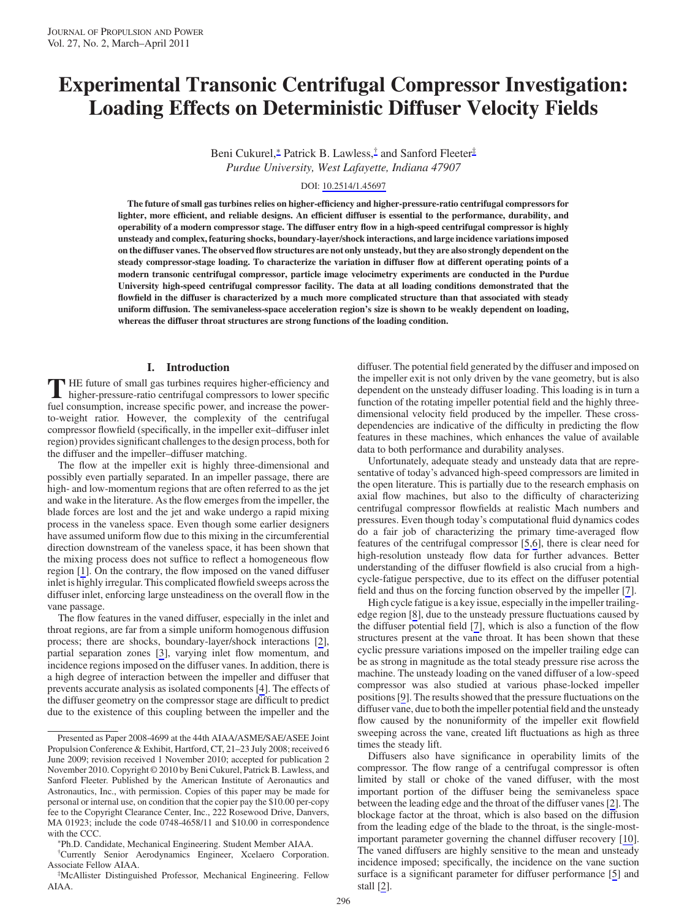# Experimental Transonic Centrifugal Compressor Investigation: Loading Effects on Deterministic Diffuser Velocity Fields

Beni Cukurel,\* Patrick B. Lawless,<sup>†</sup> and Sanford Fleeter<sup>‡</sup> Purdue University, West Lafayette, Indiana 47907

### DOI: [10.2514/1.45697](http://dx.doi.org/10.2514/1.45697)

The future of small gas turbines relies on higher-efficiency and higher-pressure-ratio centrifugal compressors for lighter, more efficient, and reliable designs. An efficient diffuser is essential to the performance, durability, and operability of a modern compressor stage. The diffuser entry flow in a high-speed centrifugal compressor is highly unsteady and complex, featuring shocks, boundary-layer/shock interactions, and large incidence variations imposed on the diffuser vanes. The observed flow structures are not only unsteady, but they are also strongly dependent on the steady compressor-stage loading. To characterize the variation in diffuser flow at different operating points of a modern transonic centrifugal compressor, particle image velocimetry experiments are conducted in the Purdue University high-speed centrifugal compressor facility. The data at all loading conditions demonstrated that the flowfield in the diffuser is characterized by a much more complicated structure than that associated with steady uniform diffusion. The semivaneless-space acceleration region*'*s size is shown to be weakly dependent on loading, whereas the diffuser throat structures are strong functions of the loading condition.

## I. Introduction

T HE future of small gas turbines requires higher-efficiency and higher-pressure-ratio centrifugal compressors to lower specific fuel consumption, increase specific power, and increase the powerto-weight ratior. However, the complexity of the centrifugal compressor flowfield (specifically, in the impeller exit–diffuser inlet region) provides significant challenges to the design process, both for the diffuser and the impeller–diffuser matching.

The flow at the impeller exit is highly three-dimensional and possibly even partially separated. In an impeller passage, there are high- and low-momentum regions that are often referred to as the jet and wake in the literature. As the flow emerges from the impeller, the blade forces are lost and the jet and wake undergo a rapid mixing process in the vaneless space. Even though some earlier designers have assumed uniform flow due to this mixing in the circumferential direction downstream of the vaneless space, it has been shown that the mixing process does not suffice to reflect a homogeneous flow region [1]. On the contrary, the flow imposed on the vaned diffuser inlet is highly irregular. This complicated flowfield sweeps across the diffuser inlet, enforcing large unsteadiness on the overall flow in the vane passage.

The flow features in the vaned diffuser, especially in the inlet and throat regions, are far from a simple uniform homogenous diffusion process; there are shocks, boundary-layer/shock interactions [2], partial separation zones [3], varying inlet flow momentum, and incidence regions imposed on the diffuser vanes. In addition, there is a high degree of interaction between the impeller and diffuser that prevents accurate analysis as isolated components [4]. The effects of the diffuser geometry on the compressor stage are difficult to predict due to the existence of this coupling between the impeller and the

† Currently Senior Aerodynamics Engineer, Xcelaero Corporation. Associate Fellow AIAA. ‡

diffuser. The potential field generated by the diffuser and imposed on the impeller exit is not only driven by the vane geometry, but is also dependent on the unsteady diffuser loading. This loading is in turn a function of the rotating impeller potential field and the highly threedimensional velocity field produced by the impeller. These crossdependencies are indicative of the difficulty in predicting the flow features in these machines, which enhances the value of available data to both performance and durability analyses.

Unfortunately, adequate steady and unsteady data that are representative of today's advanced high-speed compressors are limited in the open literature. This is partially due to the research emphasis on axial flow machines, but also to the difficulty of characterizing centrifugal compressor flowfields at realistic Mach numbers and pressures. Even though today's computational fluid dynamics codes do a fair job of characterizing the primary time-averaged flow features of the centrifugal compressor [5,6], there is clear need for high-resolution unsteady flow data for further advances. Better understanding of the diffuser flowfield is also crucial from a highcycle-fatigue perspective, due to its effect on the diffuser potential field and thus on the forcing function observed by the impeller [7].

High cycle fatigue is a key issue, especially in the impeller trailingedge region [8], due to the unsteady pressure fluctuations caused by the diffuser potential field [7], which is also a function of the flow structures present at the vane throat. It has been shown that these cyclic pressure variations imposed on the impeller trailing edge can be as strong in magnitude as the total steady pressure rise across the machine. The unsteady loading on the vaned diffuser of a low-speed compressor was also studied at various phase-locked impeller positions [9]. The results showed that the pressure fluctuations on the diffuser vane, due to both the impeller potential field and the unsteady flow caused by the nonuniformity of the impeller exit flowfield sweeping across the vane, created lift fluctuations as high as three times the steady lift.

Diffusers also have significance in operability limits of the compressor. The flow range of a centrifugal compressor is often limited by stall or choke of the vaned diffuser, with the most important portion of the diffuser being the semivaneless space between the leading edge and the throat of the diffuser vanes [2]. The blockage factor at the throat, which is also based on the diffusion from the leading edge of the blade to the throat, is the single-mostimportant parameter governing the channel diffuser recovery [10]. The vaned diffusers are highly sensitive to the mean and unsteady incidence imposed; specifically, the incidence on the vane suction surface is a significant parameter for diffuser performance [5] and stall [2].

Presented as Paper 2008-4699 at the 44th AIAA/ASME/SAE/ASEE Joint Propulsion Conference & Exhibit, Hartford, CT, 21–23 July 2008; received 6 June 2009; revision received 1 November 2010; accepted for publication 2 November 2010. Copyright © 2010 by Beni Cukurel, Patrick B. Lawless, and Sanford Fleeter. Published by the American Institute of Aeronautics and Astronautics, Inc., with permission. Copies of this paper may be made for personal or internal use, on condition that the copier pay the \$10.00 per-copy fee to the Copyright Clearance Center, Inc., 222 Rosewood Drive, Danvers, MA 01923; include the code 0748-4658/11 and \$10.00 in correspondence with the CCC.<br><sup>∗</sup>Ph.D. Candidate, Mechanical Engineering. Student Member AIAA.

McAllister Distinguished Professor, Mechanical Engineering. Fellow AIAA.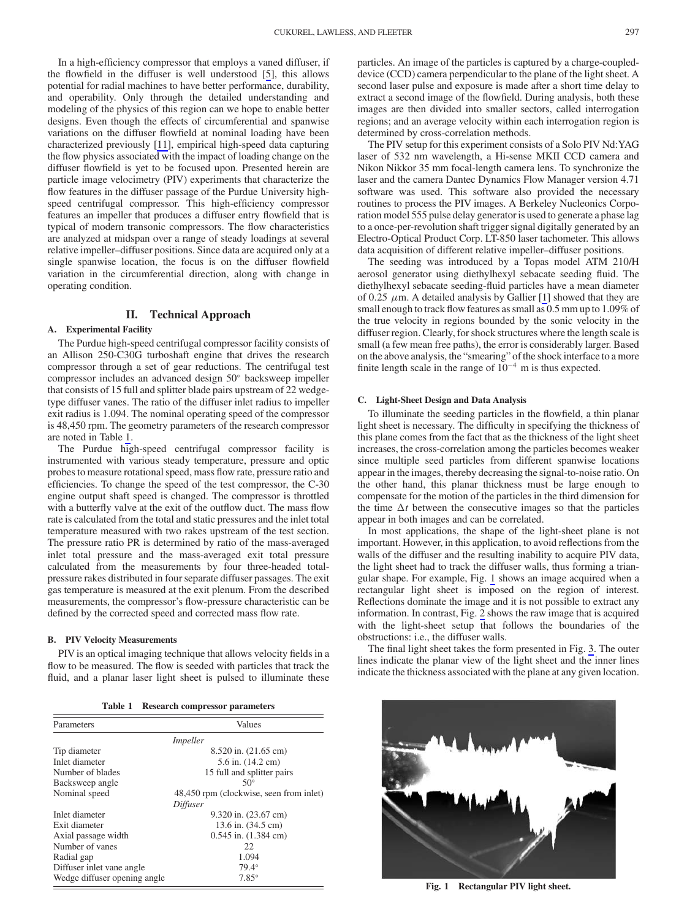In a high-efficiency compressor that employs a vaned diffuser, if the flowfield in the diffuser is well understood [5], this allows potential for radial machines to have better performance, durability, and operability. Only through the detailed understanding and modeling of the physics of this region can we hope to enable better designs. Even though the effects of circumferential and spanwise variations on the diffuser flowfield at nominal loading have been characterized previously [11], empirical high-speed data capturing the flow physics associated with the impact of loading change on the diffuser flowfield is yet to be focused upon. Presented herein are particle image velocimetry (PIV) experiments that characterize the flow features in the diffuser passage of the Purdue University highspeed centrifugal compressor. This high-efficiency compressor features an impeller that produces a diffuser entry flowfield that is typical of modern transonic compressors. The flow characteristics are analyzed at midspan over a range of steady loadings at several relative impeller–diffuser positions. Since data are acquired only at a single spanwise location, the focus is on the diffuser flowfield variation in the circumferential direction, along with change in operating condition.

## II. Technical Approach

## A. Experimental Facility

The Purdue high-speed centrifugal compressor facility consists of an Allison 250-C30G turboshaft engine that drives the research compressor through a set of gear reductions. The centrifugal test compressor includes an advanced design 50° backsweep impeller that consists of 15 full and splitter blade pairs upstream of 22 wedgetype diffuser vanes. The ratio of the diffuser inlet radius to impeller exit radius is 1.094. The nominal operating speed of the compressor is 48,450 rpm. The geometry parameters of the research compressor are noted in Table 1.

The Purdue high-speed centrifugal compressor facility is instrumented with various steady temperature, pressure and optic probes to measure rotational speed, mass flow rate, pressure ratio and efficiencies. To change the speed of the test compressor, the C-30 engine output shaft speed is changed. The compressor is throttled with a butterfly valve at the exit of the outflow duct. The mass flow rate is calculated from the total and static pressures and the inlet total temperature measured with two rakes upstream of the test section. The pressure ratio PR is determined by ratio of the mass-averaged inlet total pressure and the mass-averaged exit total pressure calculated from the measurements by four three-headed totalpressure rakes distributed in four separate diffuser passages. The exit gas temperature is measured at the exit plenum. From the described measurements, the compressor's flow-pressure characteristic can be defined by the corrected speed and corrected mass flow rate.

#### B. PIV Velocity Measurements

PIV is an optical imaging technique that allows velocity fields in a flow to be measured. The flow is seeded with particles that track the fluid, and a planar laser light sheet is pulsed to illuminate these

| Table 1 | <b>Research compressor parameters</b> |  |
|---------|---------------------------------------|--|
|---------|---------------------------------------|--|

| Parameters                   | Values                                  |  |  |  |
|------------------------------|-----------------------------------------|--|--|--|
| Impeller                     |                                         |  |  |  |
| Tip diameter                 | 8.520 in. (21.65 cm)                    |  |  |  |
| Inlet diameter               | 5.6 in. (14.2 cm)                       |  |  |  |
| Number of blades             | 15 full and splitter pairs              |  |  |  |
| Backsweep angle              | $50^{\circ}$                            |  |  |  |
| Nominal speed                | 48,450 rpm (clockwise, seen from inlet) |  |  |  |
| Diffuser                     |                                         |  |  |  |
| Inlet diameter               | $9.320$ in. $(23.67$ cm)                |  |  |  |
| Exit diameter                | 13.6 in. (34.5 cm)                      |  |  |  |
| Axial passage width          | $0.545$ in. $(1.384$ cm)                |  |  |  |
| Number of vanes              | 22                                      |  |  |  |
| Radial gap                   | 1.094                                   |  |  |  |
| Diffuser inlet vane angle    | $79.4^{\circ}$                          |  |  |  |
| Wedge diffuser opening angle | $7.85^{\circ}$                          |  |  |  |

particles. An image of the particles is captured by a charge-coupleddevice (CCD) camera perpendicular to the plane of the light sheet. A second laser pulse and exposure is made after a short time delay to extract a second image of the flowfield. During analysis, both these images are then divided into smaller sectors, called interrogation regions; and an average velocity within each interrogation region is determined by cross-correlation methods.

The PIV setup for this experiment consists of a Solo PIV Nd:YAG laser of 532 nm wavelength, a Hi-sense MKII CCD camera and Nikon Nikkor 35 mm focal-length camera lens. To synchronize the laser and the camera Dantec Dynamics Flow Manager version 4.71 software was used. This software also provided the necessary routines to process the PIV images. A Berkeley Nucleonics Corporation model 555 pulse delay generator is used to generate a phase lag to a once-per-revolution shaft trigger signal digitally generated by an Electro-Optical Product Corp. LT-850 laser tachometer. This allows data acquisition of different relative impeller–diffuser positions.

The seeding was introduced by a Topas model ATM 210/H aerosol generator using diethylhexyl sebacate seeding fluid. The diethylhexyl sebacate seeding-fluid particles have a mean diameter of 0.25  $\mu$ m. A detailed analysis by Gallier [1] showed that they are small enough to track flow features as small as 0.5 mm up to 1.09% of the true velocity in regions bounded by the sonic velocity in the diffuser region. Clearly, for shock structures where the length scale is small (a few mean free paths), the error is considerably larger. Based on the above analysis, the "smearing" of the shock interface to a more finite length scale in the range of  $10^{-4}$  m is thus expected.

#### C. Light-Sheet Design and Data Analysis

To illuminate the seeding particles in the flowfield, a thin planar light sheet is necessary. The difficulty in specifying the thickness of this plane comes from the fact that as the thickness of the light sheet increases, the cross-correlation among the particles becomes weaker since multiple seed particles from different spanwise locations appear in the images, thereby decreasing the signal-to-noise ratio. On the other hand, this planar thickness must be large enough to compensate for the motion of the particles in the third dimension for the time  $\Delta t$  between the consecutive images so that the particles appear in both images and can be correlated.

In most applications, the shape of the light-sheet plane is not important. However, in this application, to avoid reflections from the walls of the diffuser and the resulting inability to acquire PIV data, the light sheet had to track the diffuser walls, thus forming a triangular shape. For example, Fig. 1 shows an image acquired when a rectangular light sheet is imposed on the region of interest. Reflections dominate the image and it is not possible to extract any information. In contrast, Fig. [2](#page-2-0) shows the raw image that is acquired with the light-sheet setup that follows the boundaries of the obstructions: i.e., the diffuser walls.

The final light sheet takes the form presented in Fig. [3.](#page-2-0) The outer lines indicate the planar view of the light sheet and the inner lines indicate the thickness associated with the plane at any given location.



Fig. 1 Rectangular PIV light sheet.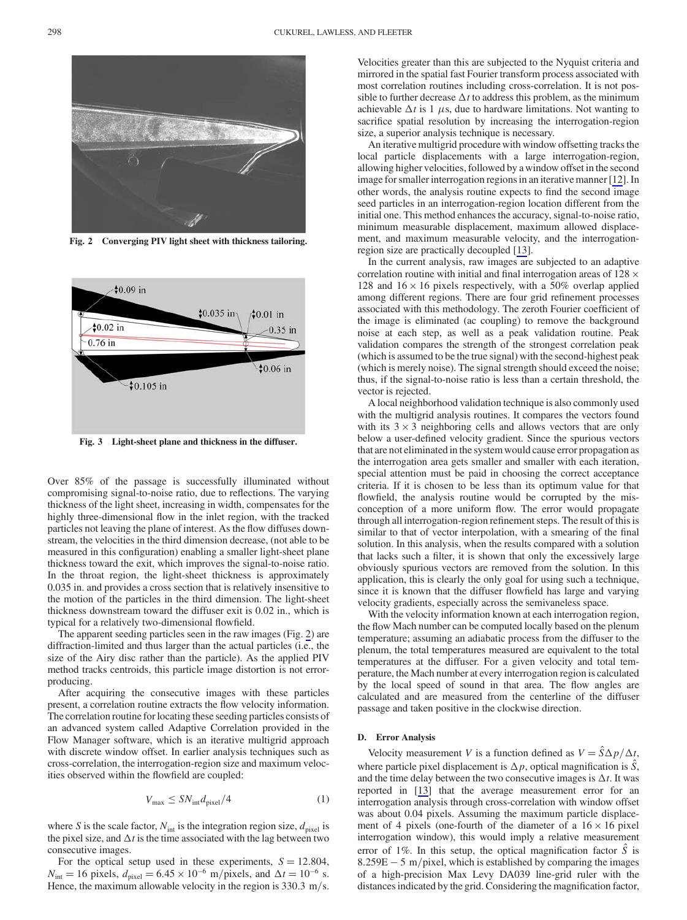<span id="page-2-0"></span>

Fig. 2 Converging PIV light sheet with thickness tailoring.



Fig. 3 Light-sheet plane and thickness in the diffuser.

Over 85% of the passage is successfully illuminated without compromising signal-to-noise ratio, due to reflections. The varying thickness of the light sheet, increasing in width, compensates for the highly three-dimensional flow in the inlet region, with the tracked particles not leaving the plane of interest. As the flow diffuses downstream, the velocities in the third dimension decrease, (not able to be measured in this configuration) enabling a smaller light-sheet plane thickness toward the exit, which improves the signal-to-noise ratio. In the throat region, the light-sheet thickness is approximately 0.035 in. and provides a cross section that is relatively insensitive to the motion of the particles in the third dimension. The light-sheet thickness downstream toward the diffuser exit is 0.02 in., which is typical for a relatively two-dimensional flowfield.

The apparent seeding particles seen in the raw images (Fig. 2) are diffraction-limited and thus larger than the actual particles (i.e., the size of the Airy disc rather than the particle). As the applied PIV method tracks centroids, this particle image distortion is not errorproducing.

After acquiring the consecutive images with these particles present, a correlation routine extracts the flow velocity information. The correlation routine for locating these seeding particles consists of an advanced system called Adaptive Correlation provided in the Flow Manager software, which is an iterative multigrid approach with discrete window offset. In earlier analysis techniques such as cross-correlation, the interrogation-region size and maximum velocities observed within the flowfield are coupled:

$$
V_{\text{max}} \leq S N_{\text{int}} d_{\text{pixel}} / 4 \tag{1}
$$

where *S* is the scale factor,  $N_{int}$  is the integration region size,  $d_{pixel}$  is the pixel size, and  $\Delta t$  is the time associated with the lag between two consecutive images.

For the optical setup used in these experiments,  $S = 12.804$ ,  $N_{\text{int}} = 16 \text{ pixels}, d_{\text{pixel}} = 6.45 \times 10^{-6} \text{ m/pixels, and } \Delta t = 10^{-6} \text{ s.}$ Hence, the maximum allowable velocity in the region is 330.3 m/s. Velocities greater than this are subjected to the Nyquist criteria and mirrored in the spatial fast Fourier transform process associated with most correlation routines including cross-correlation. It is not possible to further decrease  $\Delta t$  to address this problem, as the minimum achievable  $\Delta t$  is 1  $\mu$ s, due to hardware limitations. Not wanting to sacrifice spatial resolution by increasing the interrogation-region size, a superior analysis technique is necessary.

An iterative multigrid procedure with window offsetting tracks the local particle displacements with a large interrogation-region, allowing higher velocities, followed by a window offset in the second image for smaller interrogation regions in an iterative manner [12]. In other words, the analysis routine expects to find the second image seed particles in an interrogation-region location different from the initial one. This method enhances the accuracy, signal-to-noise ratio, minimum measurable displacement, maximum allowed displacement, and maximum measurable velocity, and the interrogationregion size are practically decoupled [13].

In the current analysis, raw images are subjected to an adaptive correlation routine with initial and final interrogation areas of 128  $\times$ 128 and  $16 \times 16$  pixels respectively, with a 50% overlap applied among different regions. There are four grid refinement processes associated with this methodology. The zeroth Fourier coefficient of the image is eliminated (ac coupling) to remove the background noise at each step, as well as a peak validation routine. Peak validation compares the strength of the strongest correlation peak (which is assumed to be the true signal) with the second-highest peak (which is merely noise). The signal strength should exceed the noise; thus, if the signal-to-noise ratio is less than a certain threshold, the vector is rejected.

A local neighborhood validation technique is also commonly used with the multigrid analysis routines. It compares the vectors found with its  $3 \times 3$  neighboring cells and allows vectors that are only below a user-defined velocity gradient. Since the spurious vectors that are not eliminated in the system would cause error propagation as the interrogation area gets smaller and smaller with each iteration, special attention must be paid in choosing the correct acceptance criteria. If it is chosen to be less than its optimum value for that flowfield, the analysis routine would be corrupted by the misconception of a more uniform flow. The error would propagate through all interrogation-region refinement steps. The result of this is similar to that of vector interpolation, with a smearing of the final solution. In this analysis, when the results compared with a solution that lacks such a filter, it is shown that only the excessively large obviously spurious vectors are removed from the solution. In this application, this is clearly the only goal for using such a technique, since it is known that the diffuser flowfield has large and varying velocity gradients, especially across the semivaneless space.

With the velocity information known at each interrogation region, the flow Mach number can be computed locally based on the plenum temperature; assuming an adiabatic process from the diffuser to the plenum, the total temperatures measured are equivalent to the total temperatures at the diffuser. For a given velocity and total temperature, the Mach number at every interrogation region is calculated by the local speed of sound in that area. The flow angles are calculated and are measured from the centerline of the diffuser passage and taken positive in the clockwise direction.

## D. Error Analysis

Velocity measurement *V* is a function defined as  $V = S \Delta p / \Delta t$ , where particle pixel displacement is  $\Delta p$ , optical magnification is  $\hat{S}$ , and the time delay between the two consecutive images is  $\Delta t$ . It was reported in [13] that the average measurement error for an interrogation analysis through cross-correlation with window offset was about 0.04 pixels. Assuming the maximum particle displacement of 4 pixels (one-fourth of the diameter of a  $16 \times 16$  pixel interrogation window), this would imply a relative measurement error of 1%. In this setup, the optical magnification factor  $\hat{S}$  is 8.259E - 5 m/pixel, which is established by comparing the images of a high-precision Max Levy DA039 line-grid ruler with the distances indicated by the grid. Considering the magnification factor,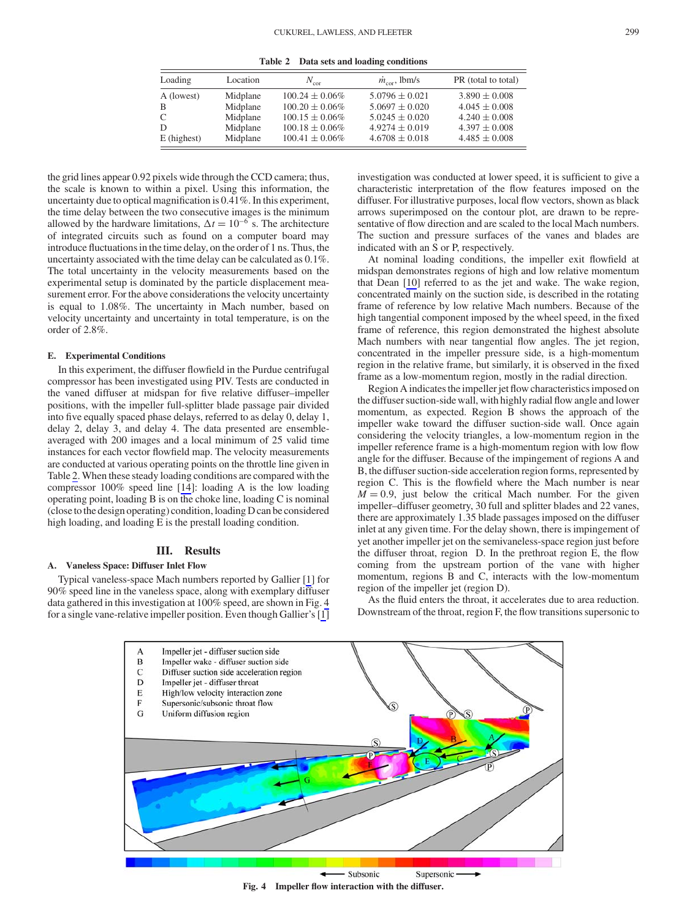Table 2 Data sets and loading conditions

| Loading       | Location | $N_{\rm cor}$       | $\dot{m}_{cor}$ , lbm/s | PR (total to total) |
|---------------|----------|---------------------|-------------------------|---------------------|
| A (lowest)    | Midplane | $100.24 \pm 0.06\%$ | $5.0796 \pm 0.021$      | $3.890 \pm 0.008$   |
| B             | Midplane | $100.20 \pm 0.06\%$ | $5.0697 + 0.020$        | $4.045 \pm 0.008$   |
| C             | Midplane | $100.15 \pm 0.06\%$ | $5.0245 \pm 0.020$      | $4.240 \pm 0.008$   |
| D             | Midplane | $100.18 \pm 0.06\%$ | $4.9274 \pm 0.019$      | $4.397 \pm 0.008$   |
| $E$ (highest) | Midplane | $100.41 \pm 0.06\%$ | $4.6708 \pm 0.018$      | $4.485 \pm 0.008$   |

the grid lines appear 0.92 pixels wide through the CCD camera; thus, the scale is known to within a pixel. Using this information, the uncertainty due to optical magnification is 0.41%. In this experiment, the time delay between the two consecutive images is the minimum allowed by the hardware limitations,  $\Delta t = 10^{-6}$  s. The architecture of integrated circuits such as found on a computer board may introduce fluctuations in the time delay, on the order of 1 ns. Thus, the uncertainty associated with the time delay can be calculated as 0.1%. The total uncertainty in the velocity measurements based on the experimental setup is dominated by the particle displacement measurement error. For the above considerations the velocity uncertainty is equal to 1.08%. The uncertainty in Mach number, based on velocity uncertainty and uncertainty in total temperature, is on the order of 2.8%.

## E. Experimental Conditions

In this experiment, the diffuser flowfield in the Purdue centrifugal compressor has been investigated using PIV. Tests are conducted in the vaned diffuser at midspan for five relative diffuser–impeller positions, with the impeller full-splitter blade passage pair divided into five equally spaced phase delays, referred to as delay 0, delay 1, delay 2, delay 3, and delay 4. The data presented are ensembleaveraged with 200 images and a local minimum of 25 valid time instances for each vector flowfield map. The velocity measurements are conducted at various operating points on the throttle line given in Table 2. When these steady loading conditions are compared with the compressor 100% speed line [14]: loading A is the low loading operating point, loading B is on the choke line, loading C is nominal (close to the design operating) condition, loading D can be considered high loading, and loading E is the prestall loading condition.

## III. Results

# A. Vaneless Space: Diffuser Inlet Flow

Typical vaneless-space Mach numbers reported by Gallier [1] for 90% speed line in the vaneless space, along with exemplary diffuser data gathered in this investigation at 100% speed, are shown in Fig. 4 for a single vane-relative impeller position. Even though Gallier's [1] investigation was conducted at lower speed, it is sufficient to give a characteristic interpretation of the flow features imposed on the diffuser. For illustrative purposes, local flow vectors, shown as black arrows superimposed on the contour plot, are drawn to be representative of flow direction and are scaled to the local Mach numbers. The suction and pressure surfaces of the vanes and blades are indicated with an S or P, respectively.

At nominal loading conditions, the impeller exit flowfield at midspan demonstrates regions of high and low relative momentum that Dean [10] referred to as the jet and wake. The wake region, concentrated mainly on the suction side, is described in the rotating frame of reference by low relative Mach numbers. Because of the high tangential component imposed by the wheel speed, in the fixed frame of reference, this region demonstrated the highest absolute Mach numbers with near tangential flow angles. The jet region, concentrated in the impeller pressure side, is a high-momentum region in the relative frame, but similarly, it is observed in the fixed frame as a low-momentum region, mostly in the radial direction.

Region A indicates the impeller jet flow characteristics imposed on the diffuser suction-side wall, with highly radial flow angle and lower momentum, as expected. Region B shows the approach of the impeller wake toward the diffuser suction-side wall. Once again considering the velocity triangles, a low-momentum region in the impeller reference frame is a high-momentum region with low flow angle for the diffuser. Because of the impingement of regions A and B, the diffuser suction-side acceleration region forms, represented by region C. This is the flowfield where the Mach number is near  $M = 0.9$ , just below the critical Mach number. For the given impeller–diffuser geometry, 30 full and splitter blades and 22 vanes, there are approximately 1.35 blade passages imposed on the diffuser inlet at any given time. For the delay shown, there is impingement of yet another impeller jet on the semivaneless-space region just before the diffuser throat, region D. In the prethroat region E, the flow coming from the upstream portion of the vane with higher momentum, regions B and C, interacts with the low-momentum region of the impeller jet (region D).

As the fluid enters the throat, it accelerates due to area reduction. Downstream of the throat, region F, the flow transitions supersonic to



Fig. 4 Impeller flow interaction with the diffuser.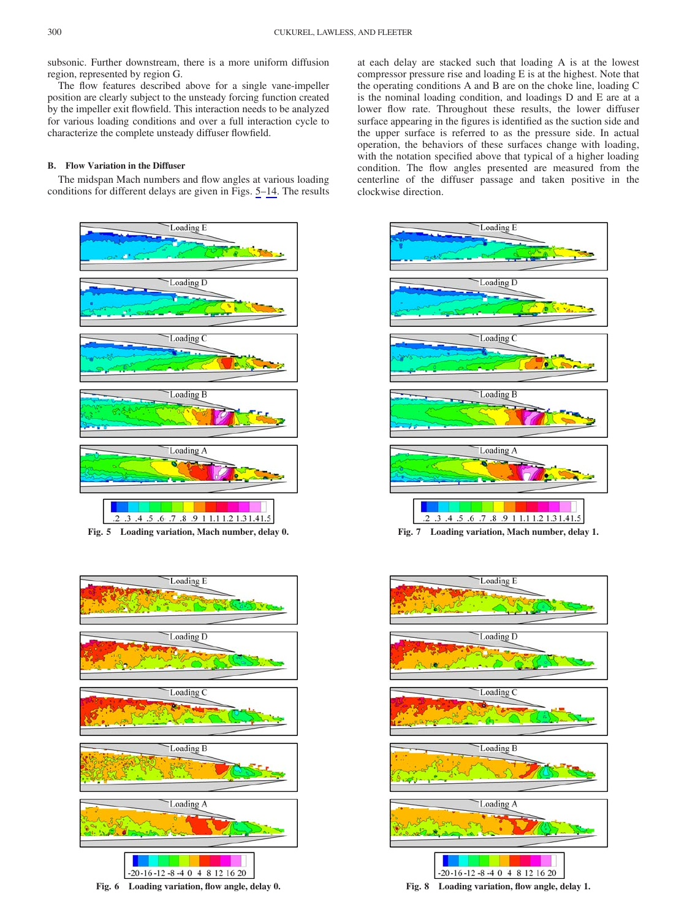<span id="page-4-0"></span>subsonic. Further downstream, there is a more uniform diffusion region, represented by region G.

The flow features described above for a single vane-impeller position are clearly subject to the unsteady forcing function created by the impeller exit flowfield. This interaction needs to be analyzed for various loading conditions and over a full interaction cycle to characterize the complete unsteady diffuser flowfield.

# B. Flow Variation in the Diffuser

The midspan Mach numbers and flow angles at various loading conditions for different delays are given in Figs. 5–[14.](#page-6-0) The results



Fig. 5 Loading variation, Mach number, delay 0.



Fig. 6 Loading variation, flow angle, delay 0.

at each delay are stacked such that loading A is at the lowest compressor pressure rise and loading E is at the highest. Note that the operating conditions A and B are on the choke line, loading C is the nominal loading condition, and loadings D and E are at a lower flow rate. Throughout these results, the lower diffuser surface appearing in the figures is identified as the suction side and the upper surface is referred to as the pressure side. In actual operation, the behaviors of these surfaces change with loading, with the notation specified above that typical of a higher loading condition. The flow angles presented are measured from the centerline of the diffuser passage and taken positive in the clockwise direction.



Fig. 7 Loading variation, Mach number, delay 1.



Fig. 8 Loading variation, flow angle, delay 1.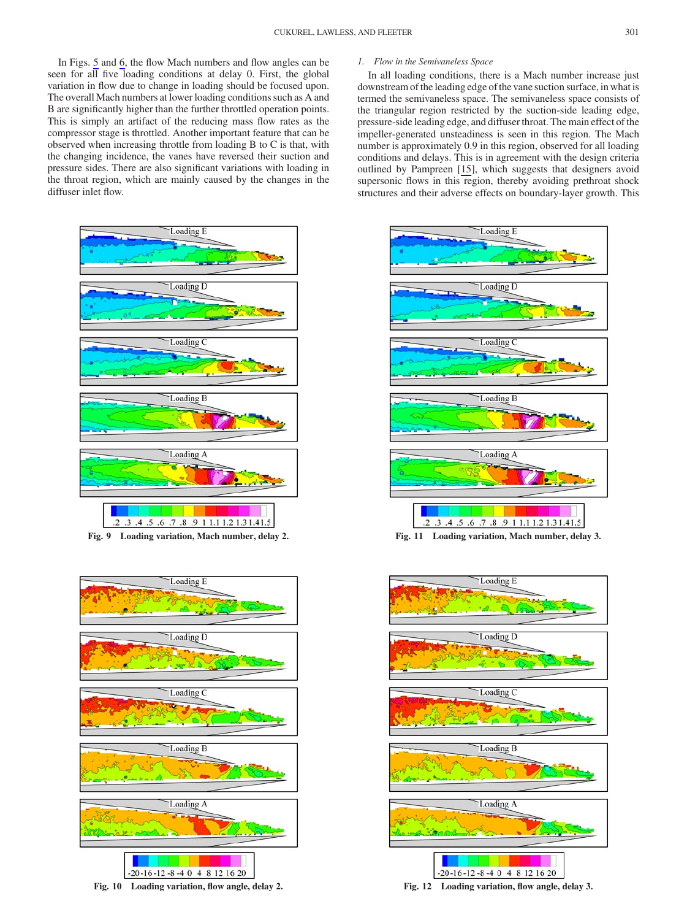<span id="page-5-0"></span>In Figs. [5](#page-4-0) and [6](#page-4-0), the flow Mach numbers and flow angles can be seen for all five loading conditions at delay 0. First, the global variation in flow due to change in loading should be focused upon. The overall Mach numbers at lower loading conditions such as A and B are significantly higher than the further throttled operation points. This is simply an artifact of the reducing mass flow rates as the compressor stage is throttled. Another important feature that can be observed when increasing throttle from loading B to C is that, with the changing incidence, the vanes have reversed their suction and pressure sides. There are also significant variations with loading in the throat region, which are mainly caused by the changes in the diffuser inlet flow.



Fig. 9 Loading variation, Mach number, delay 2.



Fig. 10 Loading variation, flow angle, delay 2.

# 1. Flow in the Semivaneless Space

In all loading conditions, there is a Mach number increase just downstream of the leading edge of the vane suction surface, in what is termed the semivaneless space. The semivaneless space consists of the triangular region restricted by the suction-side leading edge, pressure-side leading edge, and diffuser throat. The main effect of the impeller-generated unsteadiness is seen in this region. The Mach number is approximately 0.9 in this region, observed for all loading conditions and delays. This is in agreement with the design criteria outlined by Pampreen [15], which suggests that designers avoid supersonic flows in this region, thereby avoiding prethroat shock structures and their adverse effects on boundary-layer growth. This





Fig. 12 Loading variation, flow angle, delay 3.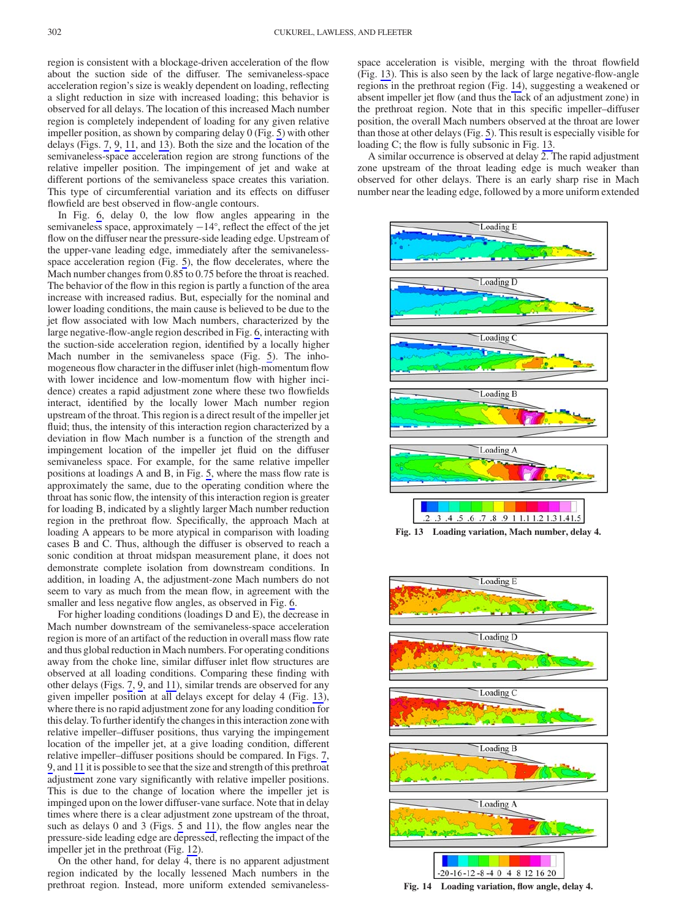<span id="page-6-0"></span>region is consistent with a blockage-driven acceleration of the flow about the suction side of the diffuser. The semivaneless-space acceleration region's size is weakly dependent on loading, reflecting a slight reduction in size with increased loading; this behavior is observed for all delays. The location of this increased Mach number region is completely independent of loading for any given relative impeller position, as shown by comparing delay 0 (Fig. [5\)](#page-4-0) with other delays (Figs. [7,](#page-4-0) [9, 11](#page-5-0), and 13). Both the size and the location of the semivaneless-space acceleration region are strong functions of the relative impeller position. The impingement of jet and wake at different portions of the semivaneless space creates this variation. This type of circumferential variation and its effects on diffuser flowfield are best observed in flow-angle contours.

In Fig. [6,](#page-4-0) delay 0, the low flow angles appearing in the semivaneless space, approximately  $-14^{\circ}$ , reflect the effect of the jet flow on the diffuser near the pressure-side leading edge. Upstream of the upper-vane leading edge, immediately after the semivanelessspace acceleration region (Fig. [5](#page-4-0)), the flow decelerates, where the Mach number changes from 0.85 to 0.75 before the throat is reached. The behavior of the flow in this region is partly a function of the area increase with increased radius. But, especially for the nominal and lower loading conditions, the main cause is believed to be due to the jet flow associated with low Mach numbers, characterized by the large negative-flow-angle region described in Fig. [6](#page-4-0), interacting with the suction-side acceleration region, identified by a locally higher Mach number in the semivaneless space (Fig. [5\)](#page-4-0). The inhomogeneous flow character in the diffuser inlet (high-momentum flow with lower incidence and low-momentum flow with higher incidence) creates a rapid adjustment zone where these two flowfields interact, identified by the locally lower Mach number region upstream of the throat. This region is a direct result of the impeller jet fluid; thus, the intensity of this interaction region characterized by a deviation in flow Mach number is a function of the strength and impingement location of the impeller jet fluid on the diffuser semivaneless space. For example, for the same relative impeller positions at loadings A and B, in Fig. [5,](#page-4-0) where the mass flow rate is approximately the same, due to the operating condition where the throat has sonic flow, the intensity of this interaction region is greater for loading B, indicated by a slightly larger Mach number reduction region in the prethroat flow. Specifically, the approach Mach at loading A appears to be more atypical in comparison with loading cases  $\overline{B}$  and  $\overline{C}$ . Thus, although the diffuser is observed to reach a sonic condition at throat midspan measurement plane, it does not demonstrate complete isolation from downstream conditions. In addition, in loading A, the adjustment-zone Mach numbers do not seem to vary as much from the mean flow, in agreement with the smaller and less negative flow angles, as observed in Fig. [6](#page-4-0).

For higher loading conditions (loadings D and E), the decrease in Mach number downstream of the semivaneless-space acceleration region is more of an artifact of the reduction in overall mass flow rate and thus global reduction in Mach numbers. For operating conditions away from the choke line, similar diffuser inlet flow structures are observed at all loading conditions. Comparing these finding with other delays (Figs. [7,](#page-4-0) [9,](#page-5-0) and [11](#page-5-0)), similar trends are observed for any given impeller position at all delays except for delay 4 (Fig. 13), where there is no rapid adjustment zone for any loading condition for this delay. To further identify the changes in this interaction zone with relative impeller–diffuser positions, thus varying the impingement location of the impeller jet, at a give loading condition, different relative impeller–diffuser positions should be compared. In Figs. [7](#page-4-0), [9,](#page-5-0) and [11](#page-5-0) it is possible to see that the size and strength of this prethroat adjustment zone vary significantly with relative impeller positions. This is due to the change of location where the impeller jet is impinged upon on the lower diffuser-vane surface. Note that in delay times where there is a clear adjustment zone upstream of the throat, such as delays 0 and 3 (Figs. [5](#page-4-0) and [11](#page-5-0)), the flow angles near the pressure-side leading edge are depressed, reflecting the impact of the impeller jet in the prethroat (Fig. [12](#page-5-0)).

On the other hand, for delay 4, there is no apparent adjustment region indicated by the locally lessened Mach numbers in the prethroat region. Instead, more uniform extended semivanelessspace acceleration is visible, merging with the throat flowfield (Fig. 13). This is also seen by the lack of large negative-flow-angle regions in the prethroat region (Fig. 14), suggesting a weakened or absent impeller jet flow (and thus the lack of an adjustment zone) in the prethroat region. Note that in this specific impeller–diffuser position, the overall Mach numbers observed at the throat are lower than those at other delays (Fig. [5](#page-4-0)). This result is especially visible for loading C; the flow is fully subsonic in Fig. 13.

A similar occurrence is observed at delay 2. The rapid adjustment zone upstream of the throat leading edge is much weaker than observed for other delays. There is an early sharp rise in Mach number near the leading edge, followed by a more uniform extended



Fig. 13 Loading variation, Mach number, delay 4.



Fig. 14 Loading variation, flow angle, delay 4.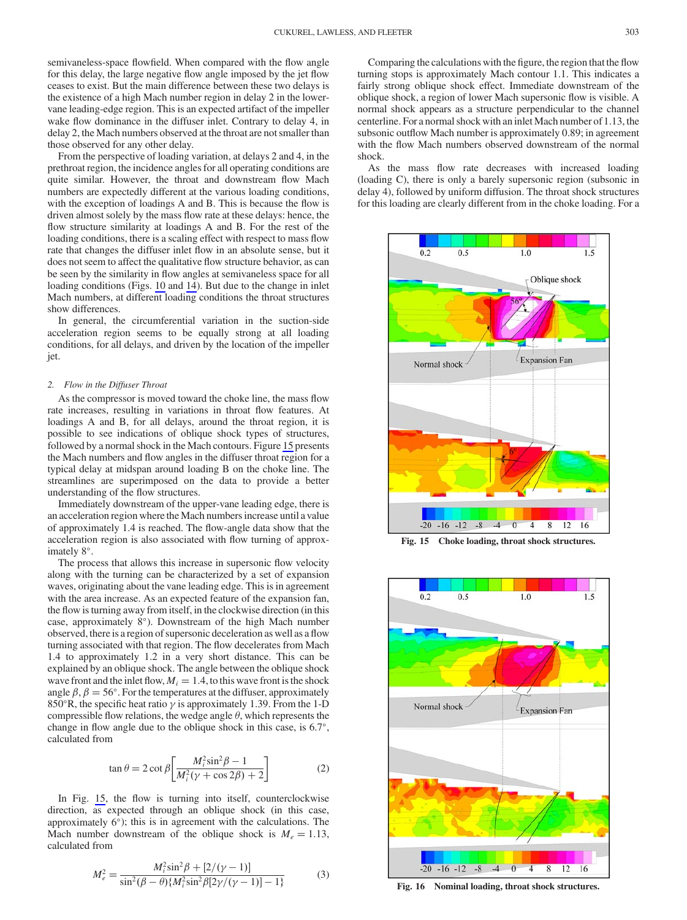<span id="page-7-0"></span>semivaneless-space flowfield. When compared with the flow angle for this delay, the large negative flow angle imposed by the jet flow ceases to exist. But the main difference between these two delays is the existence of a high Mach number region in delay 2 in the lowervane leading-edge region. This is an expected artifact of the impeller wake flow dominance in the diffuser inlet. Contrary to delay 4, in delay 2, the Mach numbers observed at the throat are not smaller than those observed for any other delay.

From the perspective of loading variation, at delays 2 and 4, in the prethroat region, the incidence angles for all operating conditions are quite similar. However, the throat and downstream flow Mach numbers are expectedly different at the various loading conditions, with the exception of loadings A and B. This is because the flow is driven almost solely by the mass flow rate at these delays: hence, the flow structure similarity at loadings A and B. For the rest of the loading conditions, there is a scaling effect with respect to mass flow rate that changes the diffuser inlet flow in an absolute sense, but it does not seem to affect the qualitative flow structure behavior, as can be seen by the similarity in flow angles at semivaneless space for all loading conditions (Figs. [10](#page-5-0) and [14\)](#page-6-0). But due to the change in inlet Mach numbers, at different loading conditions the throat structures show differences.

In general, the circumferential variation in the suction-side acceleration region seems to be equally strong at all loading conditions, for all delays, and driven by the location of the impeller jet.

#### 2. Flow in the Diffuser Throat

As the compressor is moved toward the choke line, the mass flow rate increases, resulting in variations in throat flow features. At loadings A and B, for all delays, around the throat region, it is possible to see indications of oblique shock types of structures, followed by a normal shock in the Mach contours. Figure 15 presents the Mach numbers and flow angles in the diffuser throat region for a typical delay at midspan around loading B on the choke line. The streamlines are superimposed on the data to provide a better understanding of the flow structures.

Immediately downstream of the upper-vane leading edge, there is an acceleration region where the Mach numbers increase until a value of approximately 1.4 is reached. The flow-angle data show that the acceleration region is also associated with flow turning of approximately 8°.

The process that allows this increase in supersonic flow velocity along with the turning can be characterized by a set of expansion waves, originating about the vane leading edge. This is in agreement with the area increase. As an expected feature of the expansion fan, the flow is turning away from itself, in the clockwise direction (in this case, approximately  $8^\circ$ ). Downstream of the high Mach number observed, there is a region of supersonic deceleration as well as a flow turning associated with that region. The flow decelerates from Mach 1.4 to approximately 1.2 in a very short distance. This can be explained by an oblique shock. The angle between the oblique shock wave front and the inlet flow,  $M_i = 1.4$ , to this wave front is the shock angle  $\beta$ ,  $\beta = 56^\circ$ . For the temperatures at the diffuser, approximately 850°R, the specific heat ratio  $\gamma$  is approximately 1.39. From the 1-D compressible flow relations, the wedge angle  $\theta$ , which represents the change in flow angle due to the oblique shock in this case, is  $6.7^{\circ}$ , calculated from

$$
\tan \theta = 2 \cot \beta \left[ \frac{M_i^2 \sin^2 \beta - 1}{M_i^2 (\gamma + \cos 2\beta) + 2} \right]
$$
 (2)

In Fig. 15, the flow is turning into itself, counterclockwise direction, as expected through an oblique shock (in this case, approximately 6°); this is in agreement with the calculations. The Mach number downstream of the oblique shock is  $M_e = 1.13$ , calculated from

$$
M_e^2 = \frac{M_i^2 \sin^2 \beta + [2/(\gamma - 1)]}{\sin^2(\beta - \theta) \{M_i^2 \sin^2 \beta [2\gamma/(\gamma - 1)] - 1\}}
$$
(3)

Comparing the calculations with the figure, the region that the flow turning stops is approximately Mach contour 1.1. This indicates a fairly strong oblique shock effect. Immediate downstream of the oblique shock, a region of lower Mach supersonic flow is visible. A normal shock appears as a structure perpendicular to the channel centerline. For a normal shock with an inlet Mach number of 1.13, the subsonic outflow Mach number is approximately 0.89; in agreement with the flow Mach numbers observed downstream of the normal shock.

As the mass flow rate decreases with increased loading (loading C), there is only a barely supersonic region (subsonic in delay 4), followed by uniform diffusion. The throat shock structures for this loading are clearly different from in the choke loading. For a



Fig. 15 Choke loading, throat shock structures.



Fig. 16 Nominal loading, throat shock structures.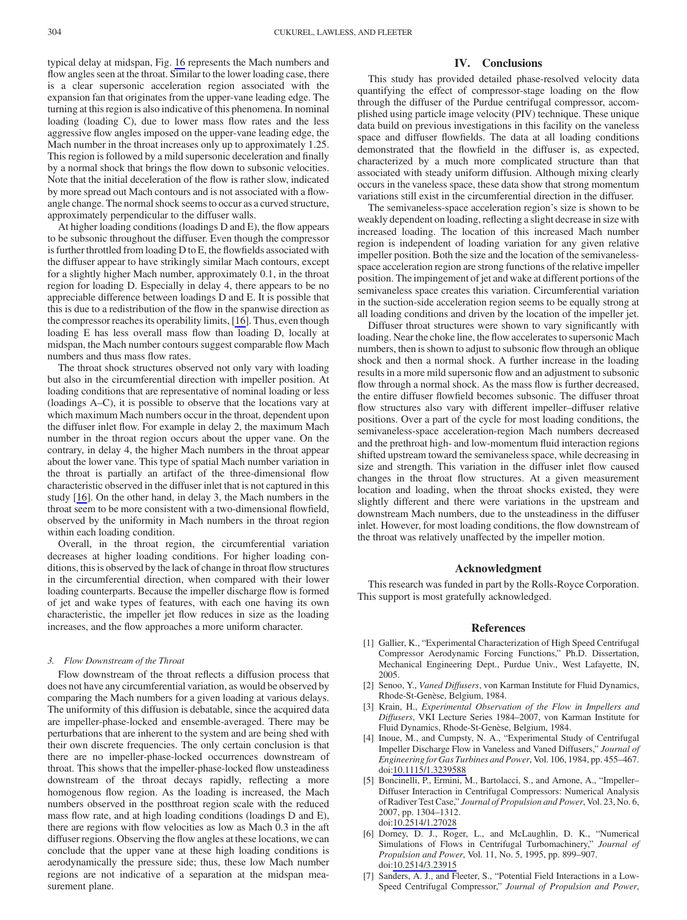typical delay at midspan, Fig. [16](#page-7-0) represents the Mach numbers and flow angles seen at the throat. Similar to the lower loading case, there is a clear supersonic acceleration region associated with the expansion fan that originates from the upper-vane leading edge. The turning at this region is also indicative of this phenomena. In nominal loading (loading C), due to lower mass flow rates and the less aggressive flow angles imposed on the upper-vane leading edge, the Mach number in the throat increases only up to approximately 1.25. This region is followed by a mild supersonic deceleration and finally by a normal shock that brings the flow down to subsonic velocities. Note that the initial deceleration of the flow is rather slow, indicated by more spread out Mach contours and is not associated with a flow-

approximately perpendicular to the diffuser walls. At higher loading conditions (loadings D and E), the flow appears to be subsonic throughout the diffuser. Even though the compressor is further throttled from loading D to E, the flowfields associated with the diffuser appear to have strikingly similar Mach contours, except for a slightly higher Mach number, approximately 0.1, in the throat region for loading D. Especially in delay 4, there appears to be no appreciable difference between loadings D and E. It is possible that this is due to a redistribution of the flow in the spanwise direction as the compressor reaches its operability limits, [16]. Thus, even though loading E has less overall mass flow than loading D, locally at midspan, the Mach number contours suggest comparable flow Mach numbers and thus mass flow rates.

angle change. The normal shock seems to occur as a curved structure,

The throat shock structures observed not only vary with loading but also in the circumferential direction with impeller position. At loading conditions that are representative of nominal loading or less (loadings A–C), it is possible to observe that the locations vary at which maximum Mach numbers occur in the throat, dependent upon the diffuser inlet flow. For example in delay 2, the maximum Mach number in the throat region occurs about the upper vane. On the contrary, in delay 4, the higher Mach numbers in the throat appear about the lower vane. This type of spatial Mach number variation in the throat is partially an artifact of the three-dimensional flow characteristic observed in the diffuser inlet that is not captured in this study [16]. On the other hand, in delay 3, the Mach numbers in the throat seem to be more consistent with a two-dimensional flowfield, observed by the uniformity in Mach numbers in the throat region within each loading condition.

Overall, in the throat region, the circumferential variation decreases at higher loading conditions. For higher loading conditions, this is observed by the lack of change in throat flow structures in the circumferential direction, when compared with their lower loading counterparts. Because the impeller discharge flow is formed of jet and wake types of features, with each one having its own characteristic, the impeller jet flow reduces in size as the loading increases, and the flow approaches a more uniform character.

#### 3. Flow Downstream of the Throat

Flow downstream of the throat reflects a diffusion process that does not have any circumferential variation, as would be observed by comparing the Mach numbers for a given loading at various delays. The uniformity of this diffusion is debatable, since the acquired data are impeller-phase-locked and ensemble-averaged. There may be perturbations that are inherent to the system and are being shed with their own discrete frequencies. The only certain conclusion is that there are no impeller-phase-locked occurrences downstream of throat. This shows that the impeller-phase-locked flow unsteadiness downstream of the throat decays rapidly, reflecting a more homogenous flow region. As the loading is increased, the Mach numbers observed in the postthroat region scale with the reduced mass flow rate, and at high loading conditions (loadings D and E), there are regions with flow velocities as low as Mach 0.3 in the aft diffuser regions. Observing the flow angles at these locations, we can conclude that the upper vane at these high loading conditions is aerodynamically the pressure side; thus, these low Mach number regions are not indicative of a separation at the midspan measurement plane.

# IV. Conclusions

This study has provided detailed phase-resolved velocity data quantifying the effect of compressor-stage loading on the flow through the diffuser of the Purdue centrifugal compressor, accomplished using particle image velocity (PIV) technique. These unique data build on previous investigations in this facility on the vaneless space and diffuser flowfields. The data at all loading conditions demonstrated that the flowfield in the diffuser is, as expected, characterized by a much more complicated structure than that associated with steady uniform diffusion. Although mixing clearly occurs in the vaneless space, these data show that strong momentum variations still exist in the circumferential direction in the diffuser.

The semivaneless-space acceleration region's size is shown to be weakly dependent on loading, reflecting a slight decrease in size with increased loading. The location of this increased Mach number region is independent of loading variation for any given relative impeller position. Both the size and the location of the semivanelessspace acceleration region are strong functions of the relative impeller position. The impingement of jet and wake at different portions of the semivaneless space creates this variation. Circumferential variation in the suction-side acceleration region seems to be equally strong at all loading conditions and driven by the location of the impeller jet.

Diffuser throat structures were shown to vary significantly with loading. Near the choke line, the flow accelerates to supersonic Mach numbers, then is shown to adjust to subsonic flow through an oblique shock and then a normal shock. A further increase in the loading results in a more mild supersonic flow and an adjustment to subsonic flow through a normal shock. As the mass flow is further decreased, the entire diffuser flowfield becomes subsonic. The diffuser throat flow structures also vary with different impeller–diffuser relative positions. Over a part of the cycle for most loading conditions, the semivaneless-space acceleration-region Mach numbers decreased and the prethroat high- and low-momentum fluid interaction regions shifted upstream toward the semivaneless space, while decreasing in size and strength. This variation in the diffuser inlet flow caused changes in the throat flow structures. At a given measurement location and loading, when the throat shocks existed, they were slightly different and there were variations in the upstream and downstream Mach numbers, due to the unsteadiness in the diffuser inlet. However, for most loading conditions, the flow downstream of the throat was relatively unaffected by the impeller motion.

#### Acknowledgment

This research was funded in part by the Rolls-Royce Corporation. This support is most gratefully acknowledged.

#### References

- [1] Gallier, K., "Experimental Characterization of High Speed Centrifugal Compressor Aerodynamic Forcing Functions," Ph.D. Dissertation, Mechanical Engineering Dept., Purdue Univ., West Lafayette, IN, 2005.
- [2] Senoo, Y., Vaned Diffusers, von Karman Institute for Fluid Dynamics, Rhode-St-Genèse, Belgium, 1984.
- [3] Krain, H., Experimental Observation of the Flow in Impellers and Diffusers, VKI Lecture Series 1984–2007, von Karman Institute for Fluid Dynamics, Rhode-St-Genèse, Belgium, 1984.
- [4] Inoue, M., and Cumpsty, N. A., "Experimental Study of Centrifugal Impeller Discharge Flow in Vaneless and Vaned Diffusers," Journal of Engineering for Gas Turbines and Power, Vol. 106, 1984, pp. 455–467. doi:[10.1115/1.3239588](http://dx.doi.org/10.1115/1.3239588)
- [5] Boncinelli, P., Ermini, M., Bartolacci, S., and Arnone, A., "Impeller– Diffuser Interaction in Centrifugal Compressors: Numerical Analysis of Radiver Test Case," Journal of Propulsion and Power, Vol. 23, No. 6, 2007, pp. 1304–1312. doi:[10.2514/1.27028](http://dx.doi.org/10.2514/1.27028)
- [6] Dorney, D. J., Roger, L., and McLaughlin, D. K., "Numerical Simulations of Flows in Centrifugal Turbomachinery," Journal of Propulsion and Power, Vol. 11, No. 5, 1995, pp. 899–907. doi:[10.2514/3.23915](http://dx.doi.org/10.2514/3.23915)
- [7] Sanders, A. J., and Fleeter, S., "Potential Field Interactions in a Low-Speed Centrifugal Compressor," Journal of Propulsion and Power,